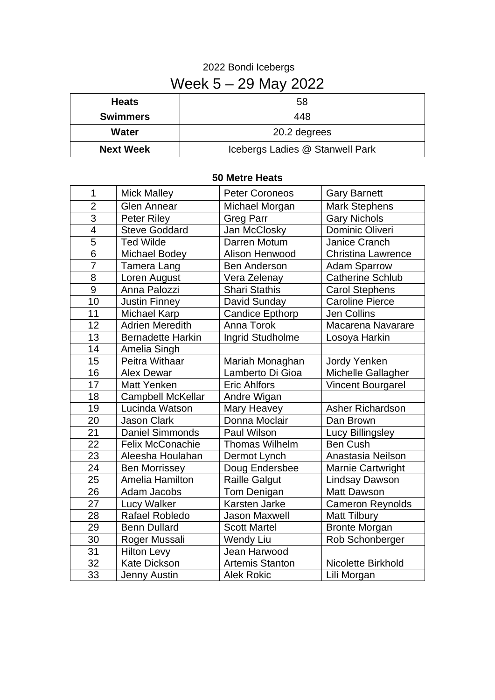## Bondi Icebergs Week 5 – 29 May 2022

| <b>Heats</b>     | 58                              |  |
|------------------|---------------------------------|--|
| <b>Swimmers</b>  | 448                             |  |
| Water            | 20.2 degrees                    |  |
| <b>Next Week</b> | Icebergs Ladies @ Stanwell Park |  |

## **50 Metre Heats**

| 1                        | <b>Mick Malley</b>       | <b>Peter Coroneos</b>  | <b>Gary Barnett</b>       |
|--------------------------|--------------------------|------------------------|---------------------------|
| $\overline{2}$           | <b>Glen Annear</b>       | Michael Morgan         | <b>Mark Stephens</b>      |
| $\overline{3}$           | <b>Peter Riley</b>       | <b>Greg Parr</b>       | <b>Gary Nichols</b>       |
| $\overline{\mathcal{A}}$ | <b>Steve Goddard</b>     | Jan McClosky           | <b>Dominic Oliveri</b>    |
| $\overline{5}$           | <b>Ted Wilde</b>         | Darren Motum           | Janice Cranch             |
| $\overline{6}$           | <b>Michael Bodey</b>     | Alison Henwood         | <b>Christina Lawrence</b> |
| 7                        | <b>Tamera Lang</b>       | <b>Ben Anderson</b>    | <b>Adam Sparrow</b>       |
| 8                        | Loren August             | Vera Zelenay           | <b>Catherine Schlub</b>   |
| 9                        | Anna Palozzi             | <b>Shari Stathis</b>   | <b>Carol Stephens</b>     |
| $\overline{10}$          | <b>Justin Finney</b>     | David Sunday           | <b>Caroline Pierce</b>    |
| 11                       | <b>Michael Karp</b>      | <b>Candice Epthorp</b> | <b>Jen Collins</b>        |
| 12                       | <b>Adrien Meredith</b>   | Anna Torok             | Macarena Navarare         |
| 13                       | <b>Bernadette Harkin</b> | Ingrid Studholme       | Losoya Harkin             |
| 14                       | Amelia Singh             |                        |                           |
| 15                       | Peitra Withaar           | Mariah Monaghan        | <b>Jordy Yenken</b>       |
| 16                       | <b>Alex Dewar</b>        | Lamberto Di Gioa       | Michelle Gallagher        |
| 17                       | <b>Matt Yenken</b>       | <b>Eric Ahlfors</b>    | <b>Vincent Bourgarel</b>  |
| 18                       | <b>Campbell McKellar</b> | Andre Wigan            |                           |
| 19                       | Lucinda Watson           | Mary Heavey            | <b>Asher Richardson</b>   |
| 20                       | <b>Jason Clark</b>       | Donna Moclair          | Dan Brown                 |
| 21                       | <b>Daniel Simmonds</b>   | Paul Wilson            | Lucy Billingsley          |
| 22                       | <b>Felix McConachie</b>  | <b>Thomas Wilhelm</b>  | <b>Ben Cush</b>           |
| 23                       | Aleesha Houlahan         | Dermot Lynch           | Anastasia Neilson         |
| 24                       | <b>Ben Morrissey</b>     | Doug Endersbee         | <b>Marnie Cartwright</b>  |
| 25                       | Amelia Hamilton          | <b>Raille Galgut</b>   | <b>Lindsay Dawson</b>     |
| 26                       | Adam Jacobs              | Tom Denigan            | <b>Matt Dawson</b>        |
| 27                       | <b>Lucy Walker</b>       | Karsten Jarke          | <b>Cameron Reynolds</b>   |
| 28                       | Rafael Robledo           | <b>Jason Maxwell</b>   | <b>Matt Tilbury</b>       |
| 29                       | <b>Benn Dullard</b>      | <b>Scott Martel</b>    | <b>Bronte Morgan</b>      |
| 30                       | Roger Mussali            | <b>Wendy Liu</b>       | Rob Schonberger           |
| 31                       | <b>Hilton Levy</b>       | Jean Harwood           |                           |
| $\overline{32}$          | <b>Kate Dickson</b>      | <b>Artemis Stanton</b> | Nicolette Birkhold        |
| $\overline{33}$          | <b>Jenny Austin</b>      | <b>Alek Rokic</b>      | Lili Morgan               |